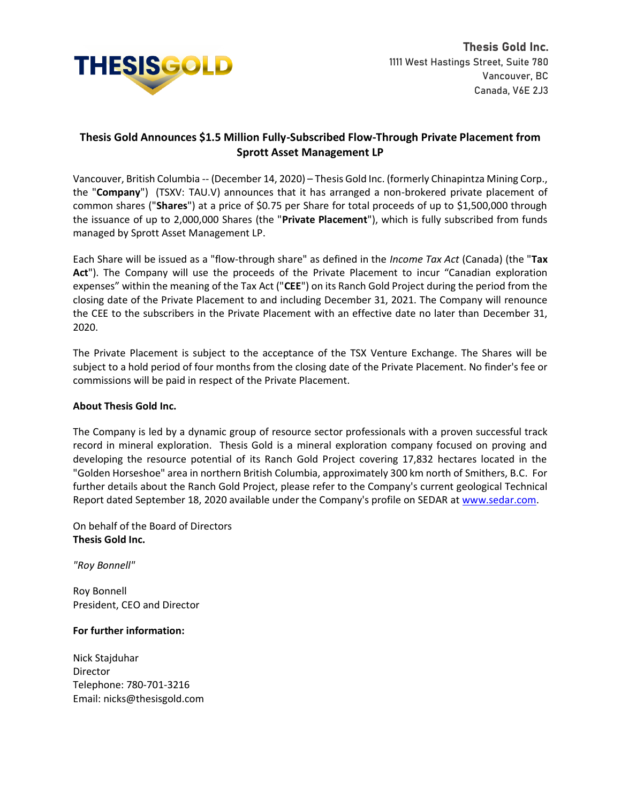

## **Thesis Gold Announces \$1.5 Million Fully-Subscribed Flow-Through Private Placement from Sprott Asset Management LP**

Vancouver, British Columbia -- (December 14, 2020) – Thesis Gold Inc. (formerly Chinapintza Mining Corp., the "**Company**") (TSXV: TAU.V) announces that it has arranged a non-brokered private placement of common shares ("**Shares**") at a price of \$0.75 per Share for total proceeds of up to \$1,500,000 through the issuance of up to 2,000,000 Shares (the "**Private Placement**"), which is fully subscribed from funds managed by Sprott Asset Management LP.

Each Share will be issued as a "flow-through share" as defined in the *Income Tax Act* (Canada) (the "**Tax Act**"). The Company will use the proceeds of the Private Placement to incur "Canadian exploration expenses" within the meaning of the Tax Act ("**CEE**") on its Ranch Gold Project during the period from the closing date of the Private Placement to and including December 31, 2021. The Company will renounce the CEE to the subscribers in the Private Placement with an effective date no later than December 31, 2020.

The Private Placement is subject to the acceptance of the TSX Venture Exchange. The Shares will be subject to a hold period of four months from the closing date of the Private Placement. No finder's fee or commissions will be paid in respect of the Private Placement.

## **About Thesis Gold Inc.**

The Company is led by a dynamic group of resource sector professionals with a proven successful track record in mineral exploration. Thesis Gold is a mineral exploration company focused on proving and developing the resource potential of its Ranch Gold Project covering 17,832 hectares located in the "Golden Horseshoe" area in northern British Columbia, approximately 300 km north of Smithers, B.C. For further details about the Ranch Gold Project, please refer to the Company's current geological Technical Report dated September 18, 2020 available under the Company's profile on SEDAR at [www.sedar.com.](http://www.sedar.com/)

On behalf of the Board of Directors **Thesis Gold Inc.**

*"Roy Bonnell"*

Roy Bonnell President, CEO and Director

## **For further information:**

Nick Stajduhar Director Telephone: 780-701-3216 Email: [nicks@thesisgold.com](mailto:nicks@thesisgold.com)